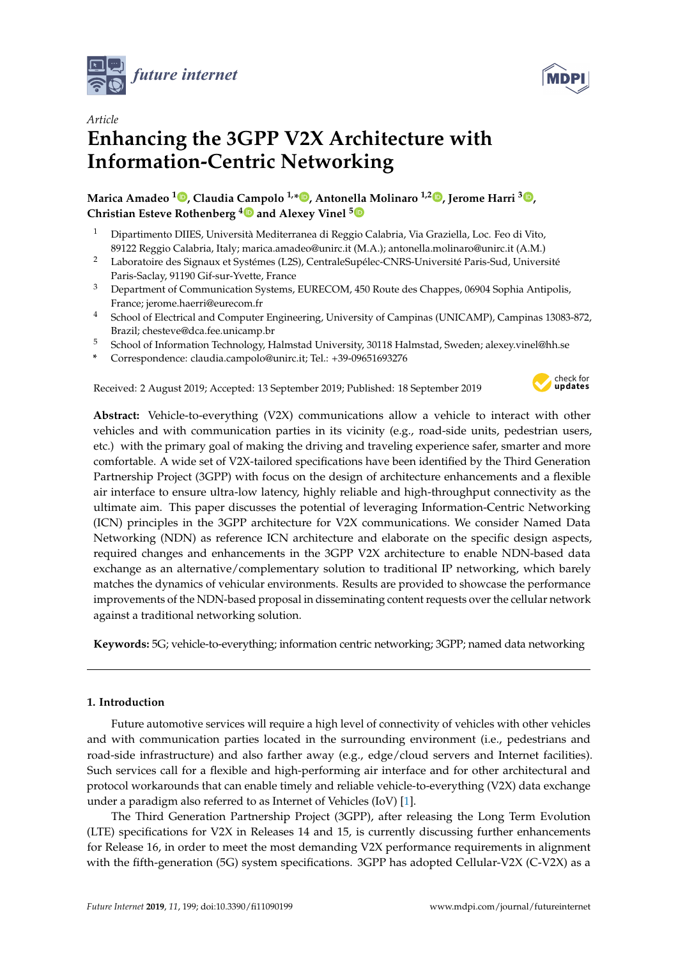



# *Article* **Enhancing the 3GPP V2X Architecture with Information-Centric Networking**

**Marica Amadeo <sup>1</sup> [,](https://orcid.org/0000-0003-2370-5145) Claudia Campolo 1,\* [,](https://orcid.org/0000-0003-3281-6680) Antonella Molinaro 1,2 [,](https://orcid.org/0000-0003-2731-300X) Jerome Harri [3](https://orcid.org/0000-0002-2363-1724) , Christian Esteve Rothenberg [4](https://orcid.org/0000-0003-3109-4305) and Alexey Vinel [5](https://orcid.org/0000-0003-4894-4134)**

- <sup>1</sup> Dipartimento DIIES, Università Mediterranea di Reggio Calabria, Via Graziella, Loc. Feo di Vito, 89122 Reggio Calabria, Italy; marica.amadeo@unirc.it (M.A.); antonella.molinaro@unirc.it (A.M.)
- <sup>2</sup> Laboratoire des Signaux et Systémes (L2S), CentraleSupélec-CNRS-Université Paris-Sud, Université Paris-Saclay, 91190 Gif-sur-Yvette, France
- <sup>3</sup> Department of Communication Systems, EURECOM, 450 Route des Chappes, 06904 Sophia Antipolis, France; jerome.haerri@eurecom.fr
- <sup>4</sup> School of Electrical and Computer Engineering, University of Campinas (UNICAMP), Campinas 13083-872, Brazil; chesteve@dca.fee.unicamp.br
- <sup>5</sup> School of Information Technology, Halmstad University, 30118 Halmstad, Sweden; alexey.vinel@hh.se
- **\*** Correspondence: claudia.campolo@unirc.it; Tel.: +39-09651693276

Received: 2 August 2019; Accepted: 13 September 2019; Published: 18 September 2019



**Abstract:** Vehicle-to-everything (V2X) communications allow a vehicle to interact with other vehicles and with communication parties in its vicinity (e.g., road-side units, pedestrian users, etc.) with the primary goal of making the driving and traveling experience safer, smarter and more comfortable. A wide set of V2X-tailored specifications have been identified by the Third Generation Partnership Project (3GPP) with focus on the design of architecture enhancements and a flexible air interface to ensure ultra-low latency, highly reliable and high-throughput connectivity as the ultimate aim. This paper discusses the potential of leveraging Information-Centric Networking (ICN) principles in the 3GPP architecture for V2X communications. We consider Named Data Networking (NDN) as reference ICN architecture and elaborate on the specific design aspects, required changes and enhancements in the 3GPP V2X architecture to enable NDN-based data exchange as an alternative/complementary solution to traditional IP networking, which barely matches the dynamics of vehicular environments. Results are provided to showcase the performance improvements of the NDN-based proposal in disseminating content requests over the cellular network against a traditional networking solution.

**Keywords:** 5G; vehicle-to-everything; information centric networking; 3GPP; named data networking

# **1. Introduction**

Future automotive services will require a high level of connectivity of vehicles with other vehicles and with communication parties located in the surrounding environment (i.e., pedestrians and road-side infrastructure) and also farther away (e.g., edge/cloud servers and Internet facilities). Such services call for a flexible and high-performing air interface and for other architectural and protocol workarounds that can enable timely and reliable vehicle-to-everything (V2X) data exchange under a paradigm also referred to as Internet of Vehicles (IoV) [\[1\]](#page-16-0).

The Third Generation Partnership Project (3GPP), after releasing the Long Term Evolution (LTE) specifications for V2X in Releases 14 and 15, is currently discussing further enhancements for Release 16, in order to meet the most demanding V2X performance requirements in alignment with the fifth-generation (5G) system specifications. 3GPP has adopted Cellular-V2X (C-V2X) as a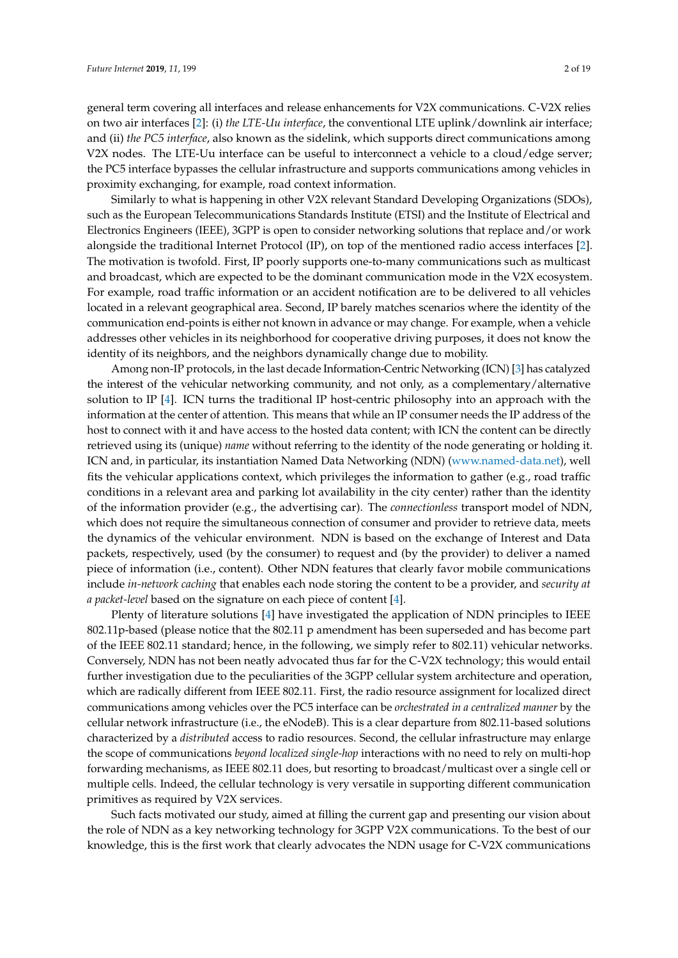general term covering all interfaces and release enhancements for V2X communications. C-V2X relies on two air interfaces [\[2\]](#page-16-1): (i) *the LTE-Uu interface*, the conventional LTE uplink/downlink air interface; and (ii) *the PC5 interface*, also known as the sidelink, which supports direct communications among V2X nodes. The LTE-Uu interface can be useful to interconnect a vehicle to a cloud/edge server; the PC5 interface bypasses the cellular infrastructure and supports communications among vehicles in proximity exchanging, for example, road context information.

Similarly to what is happening in other V2X relevant Standard Developing Organizations (SDOs), such as the European Telecommunications Standards Institute (ETSI) and the Institute of Electrical and Electronics Engineers (IEEE), 3GPP is open to consider networking solutions that replace and/or work alongside the traditional Internet Protocol (IP), on top of the mentioned radio access interfaces [\[2\]](#page-16-1). The motivation is twofold. First, IP poorly supports one-to-many communications such as multicast and broadcast, which are expected to be the dominant communication mode in the V2X ecosystem. For example, road traffic information or an accident notification are to be delivered to all vehicles located in a relevant geographical area. Second, IP barely matches scenarios where the identity of the communication end-points is either not known in advance or may change. For example, when a vehicle addresses other vehicles in its neighborhood for cooperative driving purposes, it does not know the identity of its neighbors, and the neighbors dynamically change due to mobility.

Among non-IP protocols, in the last decade Information-Centric Networking (ICN) [\[3\]](#page-16-2) has catalyzed the interest of the vehicular networking community, and not only, as a complementary/alternative solution to IP [\[4\]](#page-16-3). ICN turns the traditional IP host-centric philosophy into an approach with the information at the center of attention. This means that while an IP consumer needs the IP address of the host to connect with it and have access to the hosted data content; with ICN the content can be directly retrieved using its (unique) *name* without referring to the identity of the node generating or holding it. ICN and, in particular, its instantiation Named Data Networking (NDN) [\(www.named-data.net\)](www.named-data.net), well fits the vehicular applications context, which privileges the information to gather (e.g., road traffic conditions in a relevant area and parking lot availability in the city center) rather than the identity of the information provider (e.g., the advertising car). The *connectionless* transport model of NDN, which does not require the simultaneous connection of consumer and provider to retrieve data, meets the dynamics of the vehicular environment. NDN is based on the exchange of Interest and Data packets, respectively, used (by the consumer) to request and (by the provider) to deliver a named piece of information (i.e., content). Other NDN features that clearly favor mobile communications include *in-network caching* that enables each node storing the content to be a provider, and *security at a packet-level* based on the signature on each piece of content [\[4\]](#page-16-3).

Plenty of literature solutions [\[4\]](#page-16-3) have investigated the application of NDN principles to IEEE 802.11p-based (please notice that the 802.11 p amendment has been superseded and has become part of the IEEE 802.11 standard; hence, in the following, we simply refer to 802.11) vehicular networks. Conversely, NDN has not been neatly advocated thus far for the C-V2X technology; this would entail further investigation due to the peculiarities of the 3GPP cellular system architecture and operation, which are radically different from IEEE 802.11. First, the radio resource assignment for localized direct communications among vehicles over the PC5 interface can be *orchestrated in a centralized manner* by the cellular network infrastructure (i.e., the eNodeB). This is a clear departure from 802.11-based solutions characterized by a *distributed* access to radio resources. Second, the cellular infrastructure may enlarge the scope of communications *beyond localized single-hop* interactions with no need to rely on multi-hop forwarding mechanisms, as IEEE 802.11 does, but resorting to broadcast/multicast over a single cell or multiple cells. Indeed, the cellular technology is very versatile in supporting different communication primitives as required by V2X services.

Such facts motivated our study, aimed at filling the current gap and presenting our vision about the role of NDN as a key networking technology for 3GPP V2X communications. To the best of our knowledge, this is the first work that clearly advocates the NDN usage for C-V2X communications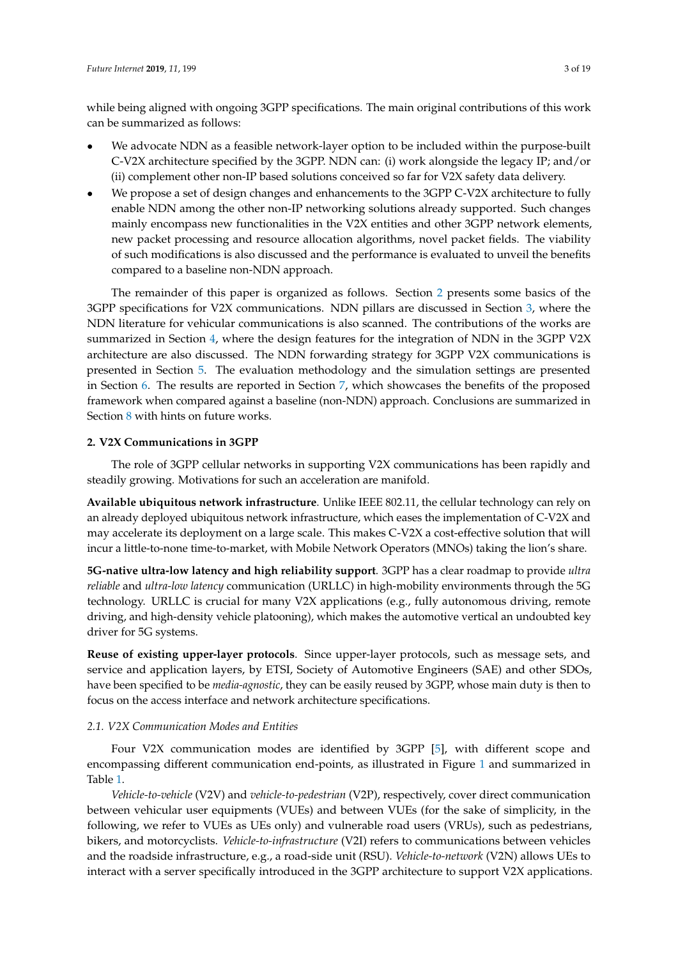while being aligned with ongoing 3GPP specifications. The main original contributions of this work can be summarized as follows:

- We advocate NDN as a feasible network-layer option to be included within the purpose-built C-V2X architecture specified by the 3GPP. NDN can: (i) work alongside the legacy IP; and/or (ii) complement other non-IP based solutions conceived so far for V2X safety data delivery.
- We propose a set of design changes and enhancements to the 3GPP C-V2X architecture to fully enable NDN among the other non-IP networking solutions already supported. Such changes mainly encompass new functionalities in the V2X entities and other 3GPP network elements, new packet processing and resource allocation algorithms, novel packet fields. The viability of such modifications is also discussed and the performance is evaluated to unveil the benefits compared to a baseline non-NDN approach.

The remainder of this paper is organized as follows. Section [2](#page-2-0) presents some basics of the 3GPP specifications for V2X communications. NDN pillars are discussed in Section [3,](#page-4-0) where the NDN literature for vehicular communications is also scanned. The contributions of the works are summarized in Section [4,](#page-7-0) where the design features for the integration of NDN in the 3GPP V2X architecture are also discussed. The NDN forwarding strategy for 3GPP V2X communications is presented in Section [5.](#page-8-0) The evaluation methodology and the simulation settings are presented in Section [6.](#page-11-0) The results are reported in Section [7,](#page-13-0) which showcases the benefits of the proposed framework when compared against a baseline (non-NDN) approach. Conclusions are summarized in Section [8](#page-14-0) with hints on future works.

## <span id="page-2-0"></span>**2. V2X Communications in 3GPP**

The role of 3GPP cellular networks in supporting V2X communications has been rapidly and steadily growing. Motivations for such an acceleration are manifold.

**Available ubiquitous network infrastructure**. Unlike IEEE 802.11, the cellular technology can rely on an already deployed ubiquitous network infrastructure, which eases the implementation of C-V2X and may accelerate its deployment on a large scale. This makes C-V2X a cost-effective solution that will incur a little-to-none time-to-market, with Mobile Network Operators (MNOs) taking the lion's share.

**5G-native ultra-low latency and high reliability support**. 3GPP has a clear roadmap to provide *ultra reliable* and *ultra-low latency* communication (URLLC) in high-mobility environments through the 5G technology. URLLC is crucial for many V2X applications (e.g., fully autonomous driving, remote driving, and high-density vehicle platooning), which makes the automotive vertical an undoubted key driver for 5G systems.

**Reuse of existing upper-layer protocols**. Since upper-layer protocols, such as message sets, and service and application layers, by ETSI, Society of Automotive Engineers (SAE) and other SDOs, have been specified to be *media-agnostic*, they can be easily reused by 3GPP, whose main duty is then to focus on the access interface and network architecture specifications.

## *2.1. V2X Communication Modes and Entities*

Four V2X communication modes are identified by 3GPP [\[5\]](#page-16-4), with different scope and encompassing different communication end-points, as illustrated in Figure [1](#page-3-0) and summarized in Table [1.](#page-3-1)

*Vehicle-to-vehicle* (V2V) and *vehicle-to-pedestrian* (V2P), respectively, cover direct communication between vehicular user equipments (VUEs) and between VUEs (for the sake of simplicity, in the following, we refer to VUEs as UEs only) and vulnerable road users (VRUs), such as pedestrians, bikers, and motorcyclists. *Vehicle-to-infrastructure* (V2I) refers to communications between vehicles and the roadside infrastructure, e.g., a road-side unit (RSU). *Vehicle-to-network* (V2N) allows UEs to interact with a server specifically introduced in the 3GPP architecture to support V2X applications.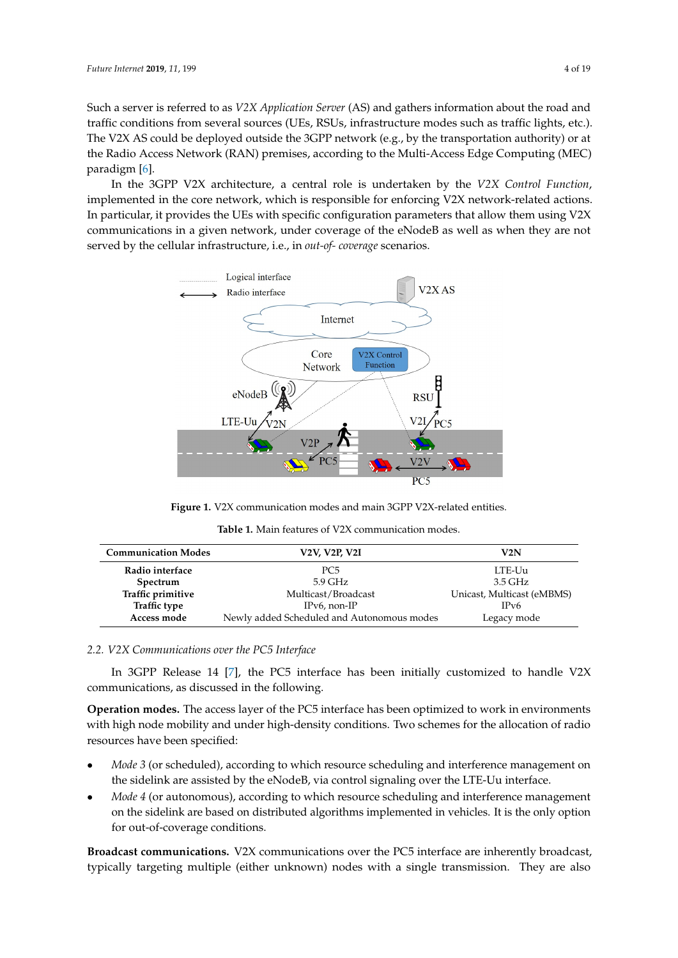Such a server is referred to as *V2X Application Server* (AS) and gathers information about the road and traffic conditions from several sources (UEs, RSUs, infrastructure modes such as traffic lights, etc.). The V2X AS could be deployed outside the 3GPP network (e.g., by the transportation authority) or at the Radio Access Network (RAN) premises, according to the Multi-Access Edge Computing (MEC) paradigm [\[6\]](#page-16-5).

In the 3GPP V2X architecture, a central role is undertaken by the *V2X Control Function*, implemented in the core network, which is responsible for enforcing V2X network-related actions. In particular, it provides the UEs with specific configuration parameters that allow them using V2X communications in a given network, under coverage of the eNodeB as well as when they are not served by the cellular infrastructure, i.e., in *out-of- coverage* scenarios.

<span id="page-3-0"></span>

**Figure 1.** V2X communication modes and main 3GPP V2X-related entities.

| <b>Table 1.</b> Main features of V2X communication modes. |  |
|-----------------------------------------------------------|--|
|-----------------------------------------------------------|--|

<span id="page-3-1"></span>

| <b>Communication Modes</b> | <b>V2V, V2P, V2I</b>                       | V2N                        |
|----------------------------|--------------------------------------------|----------------------------|
| Radio interface            | PC <sub>5</sub>                            | LTE-Uu                     |
| Spectrum                   | 5.9 GHz                                    | 3.5 GHz                    |
| Traffic primitive          | Multicast/Broadcast                        | Unicast, Multicast (eMBMS) |
| <b>Traffic type</b>        | $IPv6$ , non-IP                            | IPv6                       |
| Access mode                | Newly added Scheduled and Autonomous modes | Legacy mode                |

# *2.2. V2X Communications over the PC5 Interface*

In 3GPP Release 14 [\[7\]](#page-16-6), the PC5 interface has been initially customized to handle V2X communications, as discussed in the following.

**Operation modes.** The access layer of the PC5 interface has been optimized to work in environments with high node mobility and under high-density conditions. Two schemes for the allocation of radio resources have been specified:

- *Mode 3* (or scheduled), according to which resource scheduling and interference management on the sidelink are assisted by the eNodeB, via control signaling over the LTE-Uu interface.
- *Mode 4* (or autonomous), according to which resource scheduling and interference management on the sidelink are based on distributed algorithms implemented in vehicles. It is the only option for out-of-coverage conditions.

**Broadcast communications.** V2X communications over the PC5 interface are inherently broadcast, typically targeting multiple (either unknown) nodes with a single transmission. They are also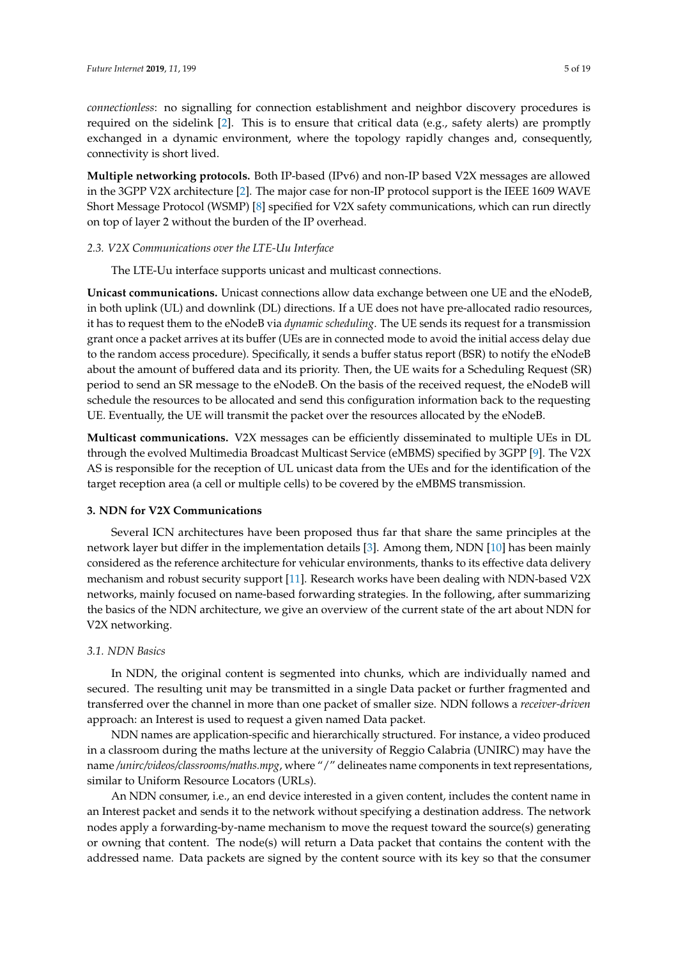*connectionless*: no signalling for connection establishment and neighbor discovery procedures is required on the sidelink [\[2\]](#page-16-1). This is to ensure that critical data (e.g., safety alerts) are promptly exchanged in a dynamic environment, where the topology rapidly changes and, consequently, connectivity is short lived.

**Multiple networking protocols.** Both IP-based (IPv6) and non-IP based V2X messages are allowed in the 3GPP V2X architecture [\[2\]](#page-16-1). The major case for non-IP protocol support is the IEEE 1609 WAVE Short Message Protocol (WSMP) [\[8\]](#page-16-7) specified for V2X safety communications, which can run directly on top of layer 2 without the burden of the IP overhead.

## *2.3. V2X Communications over the LTE-Uu Interface*

The LTE-Uu interface supports unicast and multicast connections.

**Unicast communications.** Unicast connections allow data exchange between one UE and the eNodeB, in both uplink (UL) and downlink (DL) directions. If a UE does not have pre-allocated radio resources, it has to request them to the eNodeB via *dynamic scheduling*. The UE sends its request for a transmission grant once a packet arrives at its buffer (UEs are in connected mode to avoid the initial access delay due to the random access procedure). Specifically, it sends a buffer status report (BSR) to notify the eNodeB about the amount of buffered data and its priority. Then, the UE waits for a Scheduling Request (SR) period to send an SR message to the eNodeB. On the basis of the received request, the eNodeB will schedule the resources to be allocated and send this configuration information back to the requesting UE. Eventually, the UE will transmit the packet over the resources allocated by the eNodeB.

**Multicast communications.** V2X messages can be efficiently disseminated to multiple UEs in DL through the evolved Multimedia Broadcast Multicast Service (eMBMS) specified by 3GPP [\[9\]](#page-16-8). The V2X AS is responsible for the reception of UL unicast data from the UEs and for the identification of the target reception area (a cell or multiple cells) to be covered by the eMBMS transmission.

## <span id="page-4-0"></span>**3. NDN for V2X Communications**

Several ICN architectures have been proposed thus far that share the same principles at the network layer but differ in the implementation details [\[3\]](#page-16-2). Among them, NDN [\[10\]](#page-16-9) has been mainly considered as the reference architecture for vehicular environments, thanks to its effective data delivery mechanism and robust security support [\[11\]](#page-16-10). Research works have been dealing with NDN-based V2X networks, mainly focused on name-based forwarding strategies. In the following, after summarizing the basics of the NDN architecture, we give an overview of the current state of the art about NDN for V2X networking.

## *3.1. NDN Basics*

In NDN, the original content is segmented into chunks, which are individually named and secured. The resulting unit may be transmitted in a single Data packet or further fragmented and transferred over the channel in more than one packet of smaller size. NDN follows a *receiver-driven* approach: an Interest is used to request a given named Data packet.

NDN names are application-specific and hierarchically structured. For instance, a video produced in a classroom during the maths lecture at the university of Reggio Calabria (UNIRC) may have the name */unirc/videos/classrooms/maths.mpg*, where "/" delineates name components in text representations, similar to Uniform Resource Locators (URLs).

An NDN consumer, i.e., an end device interested in a given content, includes the content name in an Interest packet and sends it to the network without specifying a destination address. The network nodes apply a forwarding-by-name mechanism to move the request toward the source(s) generating or owning that content. The node(s) will return a Data packet that contains the content with the addressed name. Data packets are signed by the content source with its key so that the consumer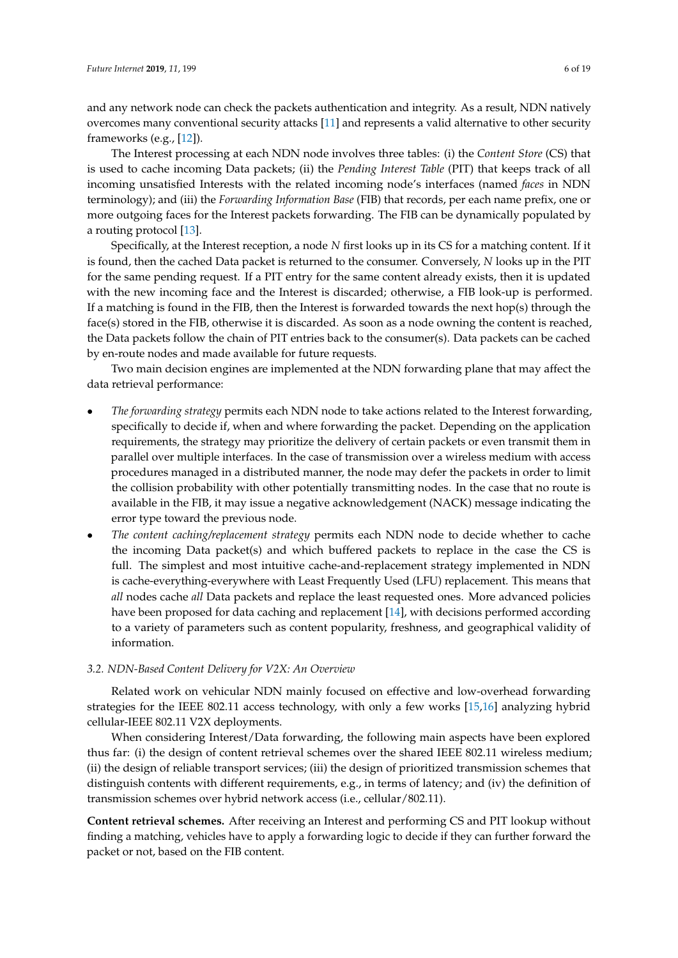and any network node can check the packets authentication and integrity. As a result, NDN natively overcomes many conventional security attacks [\[11\]](#page-16-10) and represents a valid alternative to other security frameworks (e.g., [\[12\]](#page-16-11)).

The Interest processing at each NDN node involves three tables: (i) the *Content Store* (CS) that is used to cache incoming Data packets; (ii) the *Pending Interest Table* (PIT) that keeps track of all incoming unsatisfied Interests with the related incoming node's interfaces (named *faces* in NDN terminology); and (iii) the *Forwarding Information Base* (FIB) that records, per each name prefix, one or more outgoing faces for the Interest packets forwarding. The FIB can be dynamically populated by a routing protocol [\[13\]](#page-17-0).

Specifically, at the Interest reception, a node *N* first looks up in its CS for a matching content. If it is found, then the cached Data packet is returned to the consumer. Conversely, *N* looks up in the PIT for the same pending request. If a PIT entry for the same content already exists, then it is updated with the new incoming face and the Interest is discarded; otherwise, a FIB look-up is performed. If a matching is found in the FIB, then the Interest is forwarded towards the next hop(s) through the face(s) stored in the FIB, otherwise it is discarded. As soon as a node owning the content is reached, the Data packets follow the chain of PIT entries back to the consumer(s). Data packets can be cached by en-route nodes and made available for future requests.

Two main decision engines are implemented at the NDN forwarding plane that may affect the data retrieval performance:

- *The forwarding strategy* permits each NDN node to take actions related to the Interest forwarding, specifically to decide if, when and where forwarding the packet. Depending on the application requirements, the strategy may prioritize the delivery of certain packets or even transmit them in parallel over multiple interfaces. In the case of transmission over a wireless medium with access procedures managed in a distributed manner, the node may defer the packets in order to limit the collision probability with other potentially transmitting nodes. In the case that no route is available in the FIB, it may issue a negative acknowledgement (NACK) message indicating the error type toward the previous node.
- *The content caching/replacement strategy* permits each NDN node to decide whether to cache the incoming Data packet(s) and which buffered packets to replace in the case the CS is full. The simplest and most intuitive cache-and-replacement strategy implemented in NDN is cache-everything-everywhere with Least Frequently Used (LFU) replacement. This means that *all* nodes cache *all* Data packets and replace the least requested ones. More advanced policies have been proposed for data caching and replacement [\[14\]](#page-17-1), with decisions performed according to a variety of parameters such as content popularity, freshness, and geographical validity of information.

#### <span id="page-5-0"></span>*3.2. NDN-Based Content Delivery for V2X: An Overview*

Related work on vehicular NDN mainly focused on effective and low-overhead forwarding strategies for the IEEE 802.11 access technology, with only a few works [\[15,](#page-17-2)[16\]](#page-17-3) analyzing hybrid cellular-IEEE 802.11 V2X deployments.

When considering Interest/Data forwarding, the following main aspects have been explored thus far: (i) the design of content retrieval schemes over the shared IEEE 802.11 wireless medium; (ii) the design of reliable transport services; (iii) the design of prioritized transmission schemes that distinguish contents with different requirements, e.g., in terms of latency; and (iv) the definition of transmission schemes over hybrid network access (i.e., cellular/802.11).

**Content retrieval schemes.** After receiving an Interest and performing CS and PIT lookup without finding a matching, vehicles have to apply a forwarding logic to decide if they can further forward the packet or not, based on the FIB content.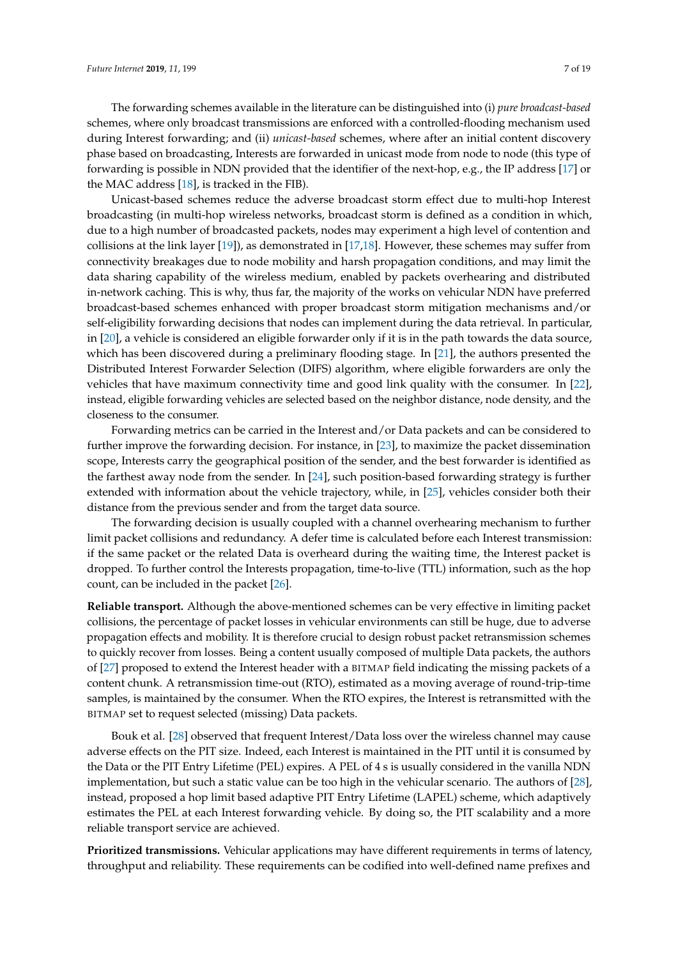The forwarding schemes available in the literature can be distinguished into (i) *pure broadcast-based* schemes, where only broadcast transmissions are enforced with a controlled-flooding mechanism used during Interest forwarding; and (ii) *unicast-based* schemes, where after an initial content discovery phase based on broadcasting, Interests are forwarded in unicast mode from node to node (this type of forwarding is possible in NDN provided that the identifier of the next-hop, e.g., the IP address [\[17\]](#page-17-4) or the MAC address [\[18\]](#page-17-5), is tracked in the FIB).

Unicast-based schemes reduce the adverse broadcast storm effect due to multi-hop Interest broadcasting (in multi-hop wireless networks, broadcast storm is defined as a condition in which, due to a high number of broadcasted packets, nodes may experiment a high level of contention and collisions at the link layer [\[19\]](#page-17-6)), as demonstrated in [\[17](#page-17-4)[,18\]](#page-17-5). However, these schemes may suffer from connectivity breakages due to node mobility and harsh propagation conditions, and may limit the data sharing capability of the wireless medium, enabled by packets overhearing and distributed in-network caching. This is why, thus far, the majority of the works on vehicular NDN have preferred broadcast-based schemes enhanced with proper broadcast storm mitigation mechanisms and/or self-eligibility forwarding decisions that nodes can implement during the data retrieval. In particular, in [\[20\]](#page-17-7), a vehicle is considered an eligible forwarder only if it is in the path towards the data source, which has been discovered during a preliminary flooding stage. In [\[21\]](#page-17-8), the authors presented the Distributed Interest Forwarder Selection (DIFS) algorithm, where eligible forwarders are only the vehicles that have maximum connectivity time and good link quality with the consumer. In [\[22\]](#page-17-9), instead, eligible forwarding vehicles are selected based on the neighbor distance, node density, and the closeness to the consumer.

Forwarding metrics can be carried in the Interest and/or Data packets and can be considered to further improve the forwarding decision. For instance, in [\[23\]](#page-17-10), to maximize the packet dissemination scope, Interests carry the geographical position of the sender, and the best forwarder is identified as the farthest away node from the sender. In [\[24\]](#page-17-11), such position-based forwarding strategy is further extended with information about the vehicle trajectory, while, in [\[25\]](#page-17-12), vehicles consider both their distance from the previous sender and from the target data source.

The forwarding decision is usually coupled with a channel overhearing mechanism to further limit packet collisions and redundancy. A defer time is calculated before each Interest transmission: if the same packet or the related Data is overheard during the waiting time, the Interest packet is dropped. To further control the Interests propagation, time-to-live (TTL) information, such as the hop count, can be included in the packet [\[26\]](#page-17-13).

**Reliable transport.** Although the above-mentioned schemes can be very effective in limiting packet collisions, the percentage of packet losses in vehicular environments can still be huge, due to adverse propagation effects and mobility. It is therefore crucial to design robust packet retransmission schemes to quickly recover from losses. Being a content usually composed of multiple Data packets, the authors of [\[27\]](#page-17-14) proposed to extend the Interest header with a BITMAP field indicating the missing packets of a content chunk. A retransmission time-out (RTO), estimated as a moving average of round-trip-time samples, is maintained by the consumer. When the RTO expires, the Interest is retransmitted with the BITMAP set to request selected (missing) Data packets.

Bouk et al. [\[28\]](#page-17-15) observed that frequent Interest/Data loss over the wireless channel may cause adverse effects on the PIT size. Indeed, each Interest is maintained in the PIT until it is consumed by the Data or the PIT Entry Lifetime (PEL) expires. A PEL of 4 s is usually considered in the vanilla NDN implementation, but such a static value can be too high in the vehicular scenario. The authors of [\[28\]](#page-17-15), instead, proposed a hop limit based adaptive PIT Entry Lifetime (LAPEL) scheme, which adaptively estimates the PEL at each Interest forwarding vehicle. By doing so, the PIT scalability and a more reliable transport service are achieved.

**Prioritized transmissions.** Vehicular applications may have different requirements in terms of latency, throughput and reliability. These requirements can be codified into well-defined name prefixes and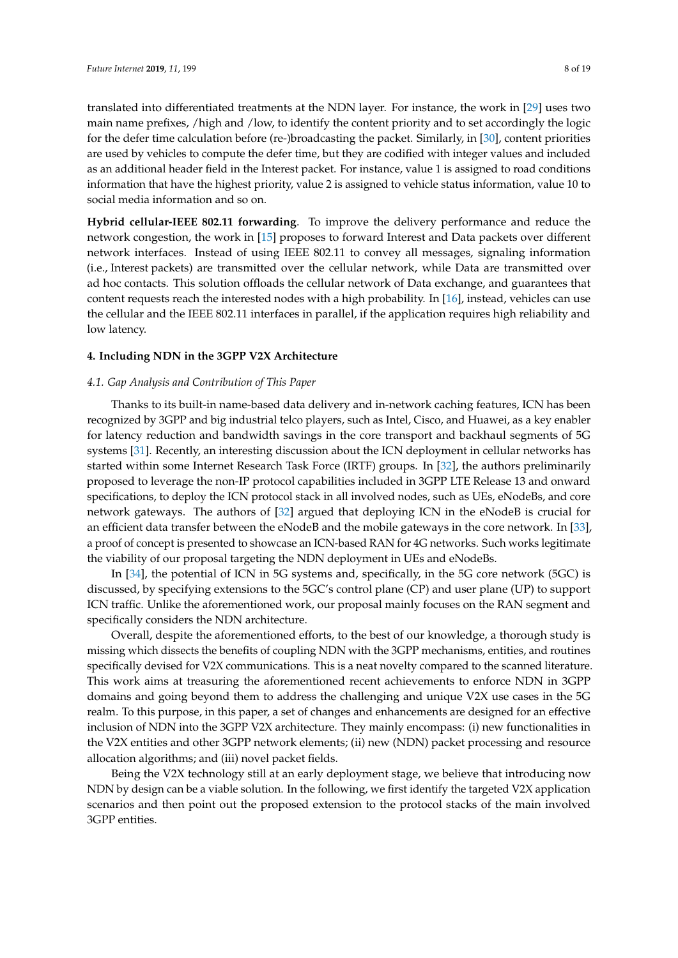translated into differentiated treatments at the NDN layer. For instance, the work in [\[29\]](#page-17-16) uses two main name prefixes, /high and /low, to identify the content priority and to set accordingly the logic for the defer time calculation before (re-)broadcasting the packet. Similarly, in [\[30\]](#page-17-17), content priorities are used by vehicles to compute the defer time, but they are codified with integer values and included as an additional header field in the Interest packet. For instance, value 1 is assigned to road conditions information that have the highest priority, value 2 is assigned to vehicle status information, value 10 to social media information and so on.

**Hybrid cellular-IEEE 802.11 forwarding**. To improve the delivery performance and reduce the network congestion, the work in [\[15\]](#page-17-2) proposes to forward Interest and Data packets over different network interfaces. Instead of using IEEE 802.11 to convey all messages, signaling information (i.e., Interest packets) are transmitted over the cellular network, while Data are transmitted over ad hoc contacts. This solution offloads the cellular network of Data exchange, and guarantees that content requests reach the interested nodes with a high probability. In [\[16\]](#page-17-3), instead, vehicles can use the cellular and the IEEE 802.11 interfaces in parallel, if the application requires high reliability and low latency.

#### <span id="page-7-0"></span>**4. Including NDN in the 3GPP V2X Architecture**

## *4.1. Gap Analysis and Contribution of This Paper*

Thanks to its built-in name-based data delivery and in-network caching features, ICN has been recognized by 3GPP and big industrial telco players, such as Intel, Cisco, and Huawei, as a key enabler for latency reduction and bandwidth savings in the core transport and backhaul segments of 5G systems [\[31\]](#page-17-18). Recently, an interesting discussion about the ICN deployment in cellular networks has started within some Internet Research Task Force (IRTF) groups. In [\[32\]](#page-17-19), the authors preliminarily proposed to leverage the non-IP protocol capabilities included in 3GPP LTE Release 13 and onward specifications, to deploy the ICN protocol stack in all involved nodes, such as UEs, eNodeBs, and core network gateways. The authors of [\[32\]](#page-17-19) argued that deploying ICN in the eNodeB is crucial for an efficient data transfer between the eNodeB and the mobile gateways in the core network. In [\[33\]](#page-17-20), a proof of concept is presented to showcase an ICN-based RAN for 4G networks. Such works legitimate the viability of our proposal targeting the NDN deployment in UEs and eNodeBs.

In [\[34\]](#page-18-0), the potential of ICN in 5G systems and, specifically, in the 5G core network (5GC) is discussed, by specifying extensions to the 5GC's control plane (CP) and user plane (UP) to support ICN traffic. Unlike the aforementioned work, our proposal mainly focuses on the RAN segment and specifically considers the NDN architecture.

Overall, despite the aforementioned efforts, to the best of our knowledge, a thorough study is missing which dissects the benefits of coupling NDN with the 3GPP mechanisms, entities, and routines specifically devised for V2X communications. This is a neat novelty compared to the scanned literature. This work aims at treasuring the aforementioned recent achievements to enforce NDN in 3GPP domains and going beyond them to address the challenging and unique V2X use cases in the 5G realm. To this purpose, in this paper, a set of changes and enhancements are designed for an effective inclusion of NDN into the 3GPP V2X architecture. They mainly encompass: (i) new functionalities in the V2X entities and other 3GPP network elements; (ii) new (NDN) packet processing and resource allocation algorithms; and (iii) novel packet fields.

Being the V2X technology still at an early deployment stage, we believe that introducing now NDN by design can be a viable solution. In the following, we first identify the targeted V2X application scenarios and then point out the proposed extension to the protocol stacks of the main involved 3GPP entities.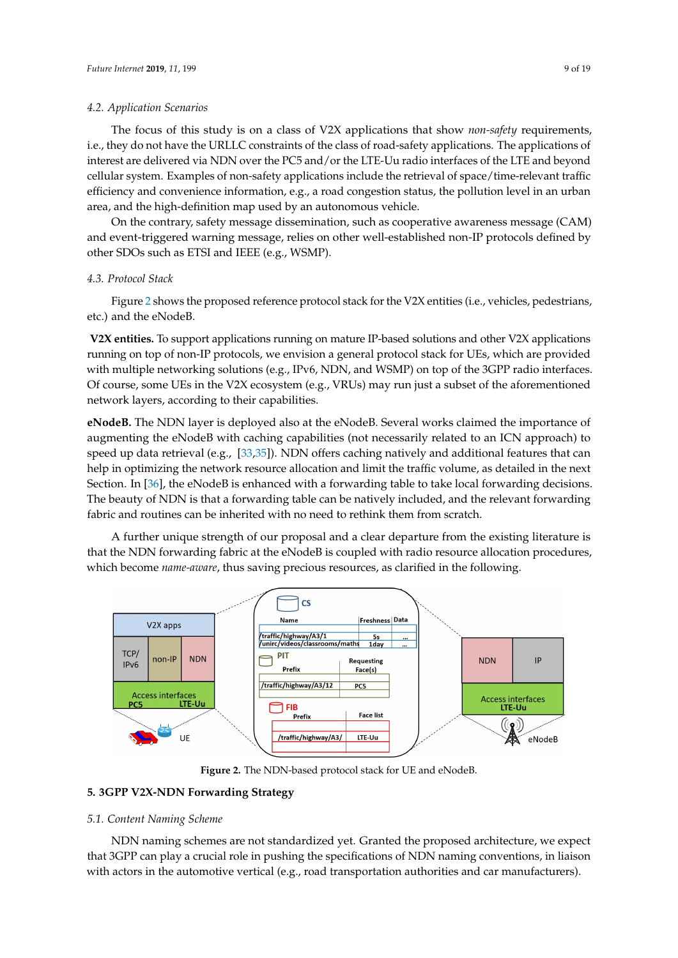#### *4.2. Application Scenarios*

The focus of this study is on a class of V2X applications that show *non-safety* requirements, i.e., they do not have the URLLC constraints of the class of road-safety applications. The applications of interest are delivered via NDN over the PC5 and/or the LTE-Uu radio interfaces of the LTE and beyond cellular system. Examples of non-safety applications include the retrieval of space/time-relevant traffic efficiency and convenience information, e.g., a road congestion status, the pollution level in an urban area, and the high-definition map used by an autonomous vehicle.

On the contrary, safety message dissemination, such as cooperative awareness message (CAM) and event-triggered warning message, relies on other well-established non-IP protocols defined by other SDOs such as ETSI and IEEE (e.g., WSMP).

#### *4.3. Protocol Stack*

Figure [2](#page-8-1) shows the proposed reference protocol stack for the V2X entities (i.e., vehicles, pedestrians, etc.) and the eNodeB.

**V2X entities.** To support applications running on mature IP-based solutions and other V2X applications running on top of non-IP protocols, we envision a general protocol stack for UEs, which are provided with multiple networking solutions (e.g., IPv6, NDN, and WSMP) on top of the 3GPP radio interfaces. Of course, some UEs in the V2X ecosystem (e.g., VRUs) may run just a subset of the aforementioned network layers, according to their capabilities.

**eNodeB.** The NDN layer is deployed also at the eNodeB. Several works claimed the importance of augmenting the eNodeB with caching capabilities (not necessarily related to an ICN approach) to speed up data retrieval (e.g., [\[33,](#page-17-20)[35\]](#page-18-1)). NDN offers caching natively and additional features that can help in optimizing the network resource allocation and limit the traffic volume, as detailed in the next Section. In [\[36\]](#page-18-2), the eNodeB is enhanced with a forwarding table to take local forwarding decisions. The beauty of NDN is that a forwarding table can be natively included, and the relevant forwarding fabric and routines can be inherited with no need to rethink them from scratch.

A further unique strength of our proposal and a clear departure from the existing literature is that the NDN forwarding fabric at the eNodeB is coupled with radio resource allocation procedures, which become *name-aware*, thus saving precious resources, as clarified in the following.

<span id="page-8-1"></span>

**Figure 2.** The NDN-based protocol stack for UE and eNodeB.

#### <span id="page-8-0"></span>**5. 3GPP V2X-NDN Forwarding Strategy**

#### *5.1. Content Naming Scheme*

NDN naming schemes are not standardized yet. Granted the proposed architecture, we expect that 3GPP can play a crucial role in pushing the specifications of NDN naming conventions, in liaison with actors in the automotive vertical (e.g., road transportation authorities and car manufacturers).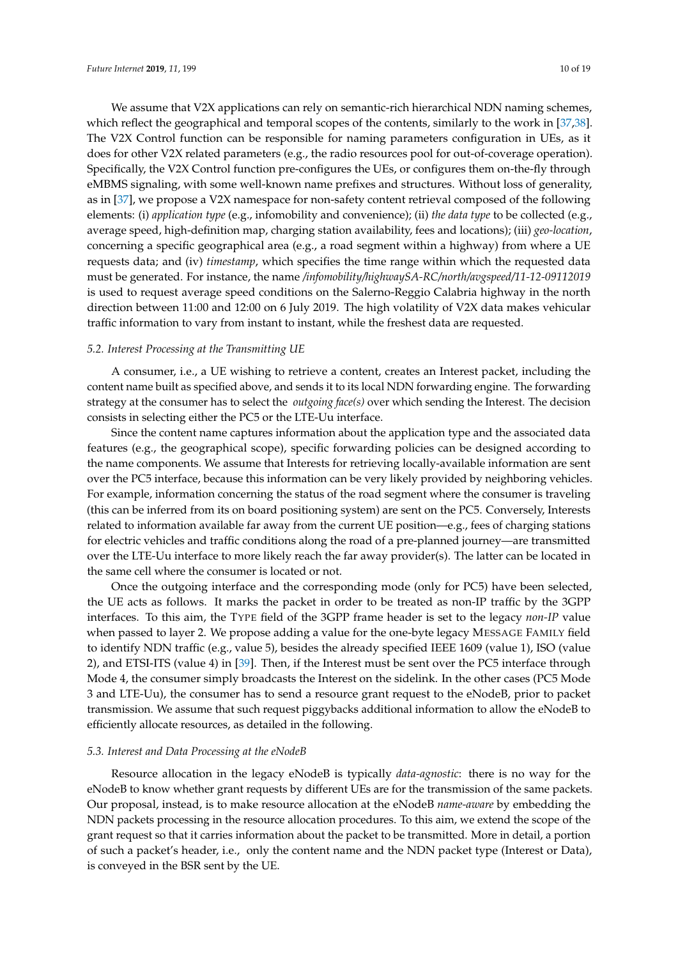We assume that V2X applications can rely on semantic-rich hierarchical NDN naming schemes, which reflect the geographical and temporal scopes of the contents, similarly to the work in [\[37,](#page-18-3)[38\]](#page-18-4). The V2X Control function can be responsible for naming parameters configuration in UEs, as it does for other V2X related parameters (e.g., the radio resources pool for out-of-coverage operation). Specifically, the V2X Control function pre-configures the UEs, or configures them on-the-fly through eMBMS signaling, with some well-known name prefixes and structures. Without loss of generality, as in [\[37\]](#page-18-3), we propose a V2X namespace for non-safety content retrieval composed of the following elements: (i) *application type* (e.g., infomobility and convenience); (ii) *the data type* to be collected (e.g., average speed, high-definition map, charging station availability, fees and locations); (iii) *geo-location*, concerning a specific geographical area (e.g., a road segment within a highway) from where a UE requests data; and (iv) *timestamp*, which specifies the time range within which the requested data must be generated. For instance, the name */infomobility/highwaySA-RC/north/avgspeed/11-12-09112019* is used to request average speed conditions on the Salerno-Reggio Calabria highway in the north direction between 11:00 and 12:00 on 6 July 2019. The high volatility of V2X data makes vehicular traffic information to vary from instant to instant, while the freshest data are requested.

#### *5.2. Interest Processing at the Transmitting UE*

A consumer, i.e., a UE wishing to retrieve a content, creates an Interest packet, including the content name built as specified above, and sends it to its local NDN forwarding engine. The forwarding strategy at the consumer has to select the *outgoing face(s)* over which sending the Interest. The decision consists in selecting either the PC5 or the LTE-Uu interface.

Since the content name captures information about the application type and the associated data features (e.g., the geographical scope), specific forwarding policies can be designed according to the name components. We assume that Interests for retrieving locally-available information are sent over the PC5 interface, because this information can be very likely provided by neighboring vehicles. For example, information concerning the status of the road segment where the consumer is traveling (this can be inferred from its on board positioning system) are sent on the PC5. Conversely, Interests related to information available far away from the current UE position—e.g., fees of charging stations for electric vehicles and traffic conditions along the road of a pre-planned journey—are transmitted over the LTE-Uu interface to more likely reach the far away provider(s). The latter can be located in the same cell where the consumer is located or not.

Once the outgoing interface and the corresponding mode (only for PC5) have been selected, the UE acts as follows. It marks the packet in order to be treated as non-IP traffic by the 3GPP interfaces. To this aim, the TYPE field of the 3GPP frame header is set to the legacy *non-IP* value when passed to layer 2. We propose adding a value for the one-byte legacy MESSAGE FAMILY field to identify NDN traffic (e.g., value 5), besides the already specified IEEE 1609 (value 1), ISO (value 2), and ETSI-ITS (value 4) in [\[39\]](#page-18-5). Then, if the Interest must be sent over the PC5 interface through Mode 4, the consumer simply broadcasts the Interest on the sidelink. In the other cases (PC5 Mode 3 and LTE-Uu), the consumer has to send a resource grant request to the eNodeB, prior to packet transmission. We assume that such request piggybacks additional information to allow the eNodeB to efficiently allocate resources, as detailed in the following.

#### *5.3. Interest and Data Processing at the eNodeB*

Resource allocation in the legacy eNodeB is typically *data-agnostic*: there is no way for the eNodeB to know whether grant requests by different UEs are for the transmission of the same packets. Our proposal, instead, is to make resource allocation at the eNodeB *name-aware* by embedding the NDN packets processing in the resource allocation procedures. To this aim, we extend the scope of the grant request so that it carries information about the packet to be transmitted. More in detail, a portion of such a packet's header, i.e., only the content name and the NDN packet type (Interest or Data), is conveyed in the BSR sent by the UE.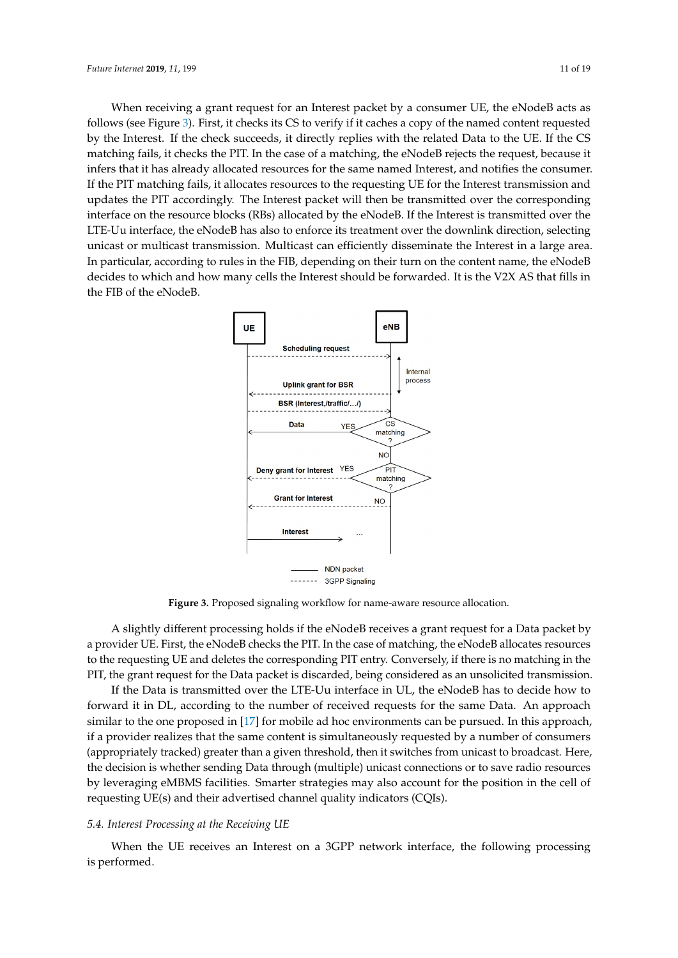When receiving a grant request for an Interest packet by a consumer UE, the eNodeB acts as follows (see Figure [3\)](#page-10-0). First, it checks its CS to verify if it caches a copy of the named content requested by the Interest. If the check succeeds, it directly replies with the related Data to the UE. If the CS matching fails, it checks the PIT. In the case of a matching, the eNodeB rejects the request, because it infers that it has already allocated resources for the same named Interest, and notifies the consumer. If the PIT matching fails, it allocates resources to the requesting UE for the Interest transmission and updates the PIT accordingly. The Interest packet will then be transmitted over the corresponding interface on the resource blocks (RBs) allocated by the eNodeB. If the Interest is transmitted over the LTE-Uu interface, the eNodeB has also to enforce its treatment over the downlink direction, selecting unicast or multicast transmission. Multicast can efficiently disseminate the Interest in a large area. In particular, according to rules in the FIB, depending on their turn on the content name, the eNodeB decides to which and how many cells the Interest should be forwarded. It is the V2X AS that fills in the FIB of the eNodeB.

<span id="page-10-0"></span>

**Figure 3.** Proposed signaling workflow for name-aware resource allocation.

A slightly different processing holds if the eNodeB receives a grant request for a Data packet by a provider UE. First, the eNodeB checks the PIT. In the case of matching, the eNodeB allocates resources to the requesting UE and deletes the corresponding PIT entry. Conversely, if there is no matching in the PIT, the grant request for the Data packet is discarded, being considered as an unsolicited transmission.

If the Data is transmitted over the LTE-Uu interface in UL, the eNodeB has to decide how to forward it in DL, according to the number of received requests for the same Data. An approach similar to the one proposed in [\[17\]](#page-17-4) for mobile ad hoc environments can be pursued. In this approach, if a provider realizes that the same content is simultaneously requested by a number of consumers (appropriately tracked) greater than a given threshold, then it switches from unicast to broadcast. Here, the decision is whether sending Data through (multiple) unicast connections or to save radio resources by leveraging eMBMS facilities. Smarter strategies may also account for the position in the cell of requesting UE(s) and their advertised channel quality indicators (CQIs).

#### *5.4. Interest Processing at the Receiving UE*

When the UE receives an Interest on a 3GPP network interface, the following processing is performed.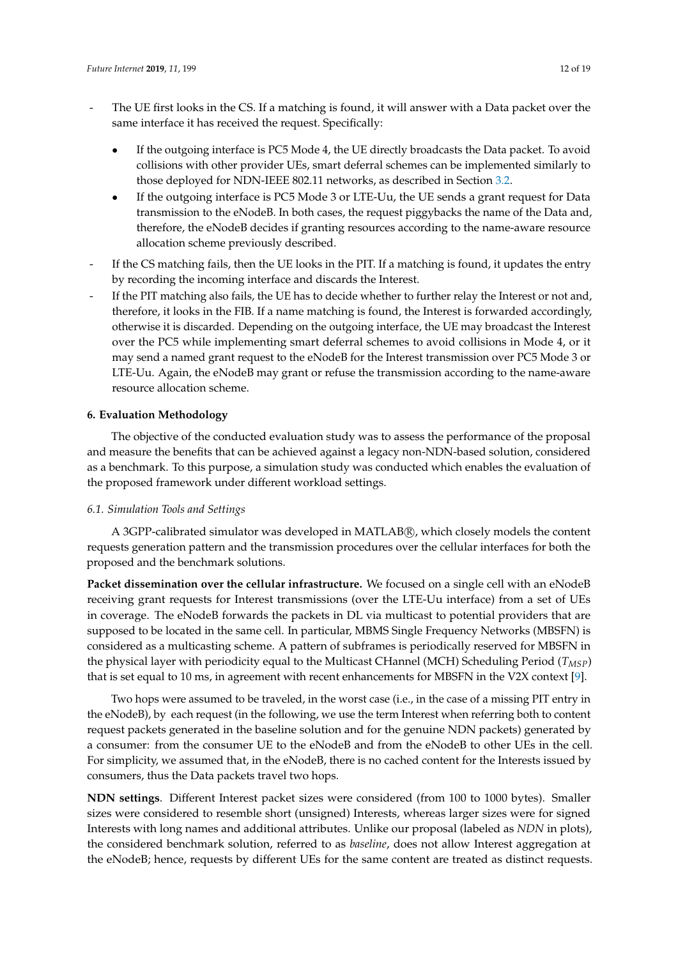- The UE first looks in the CS. If a matching is found, it will answer with a Data packet over the same interface it has received the request. Specifically:
	- If the outgoing interface is PC5 Mode 4, the UE directly broadcasts the Data packet. To avoid collisions with other provider UEs, smart deferral schemes can be implemented similarly to those deployed for NDN-IEEE 802.11 networks, as described in Section [3.2.](#page-5-0)
	- If the outgoing interface is PC5 Mode 3 or LTE-Uu, the UE sends a grant request for Data transmission to the eNodeB. In both cases, the request piggybacks the name of the Data and, therefore, the eNodeB decides if granting resources according to the name-aware resource allocation scheme previously described.
- If the CS matching fails, then the UE looks in the PIT. If a matching is found, it updates the entry by recording the incoming interface and discards the Interest.
- If the PIT matching also fails, the UE has to decide whether to further relay the Interest or not and, therefore, it looks in the FIB. If a name matching is found, the Interest is forwarded accordingly, otherwise it is discarded. Depending on the outgoing interface, the UE may broadcast the Interest over the PC5 while implementing smart deferral schemes to avoid collisions in Mode 4, or it may send a named grant request to the eNodeB for the Interest transmission over PC5 Mode 3 or LTE-Uu. Again, the eNodeB may grant or refuse the transmission according to the name-aware resource allocation scheme.

## <span id="page-11-0"></span>**6. Evaluation Methodology**

The objective of the conducted evaluation study was to assess the performance of the proposal and measure the benefits that can be achieved against a legacy non-NDN-based solution, considered as a benchmark. To this purpose, a simulation study was conducted which enables the evaluation of the proposed framework under different workload settings.

#### *6.1. Simulation Tools and Settings*

A 3GPP-calibrated simulator was developed in MATLAB(R), which closely models the content requests generation pattern and the transmission procedures over the cellular interfaces for both the proposed and the benchmark solutions.

**Packet dissemination over the cellular infrastructure.** We focused on a single cell with an eNodeB receiving grant requests for Interest transmissions (over the LTE-Uu interface) from a set of UEs in coverage. The eNodeB forwards the packets in DL via multicast to potential providers that are supposed to be located in the same cell. In particular, MBMS Single Frequency Networks (MBSFN) is considered as a multicasting scheme. A pattern of subframes is periodically reserved for MBSFN in the physical layer with periodicity equal to the Multicast CHannel (MCH) Scheduling Period (*TMSP*) that is set equal to 10 ms, in agreement with recent enhancements for MBSFN in the V2X context [\[9\]](#page-16-8).

Two hops were assumed to be traveled, in the worst case (i.e., in the case of a missing PIT entry in the eNodeB), by each request (in the following, we use the term Interest when referring both to content request packets generated in the baseline solution and for the genuine NDN packets) generated by a consumer: from the consumer UE to the eNodeB and from the eNodeB to other UEs in the cell. For simplicity, we assumed that, in the eNodeB, there is no cached content for the Interests issued by consumers, thus the Data packets travel two hops.

**NDN settings**. Different Interest packet sizes were considered (from 100 to 1000 bytes). Smaller sizes were considered to resemble short (unsigned) Interests, whereas larger sizes were for signed Interests with long names and additional attributes. Unlike our proposal (labeled as *NDN* in plots), the considered benchmark solution, referred to as *baseline*, does not allow Interest aggregation at the eNodeB; hence, requests by different UEs for the same content are treated as distinct requests.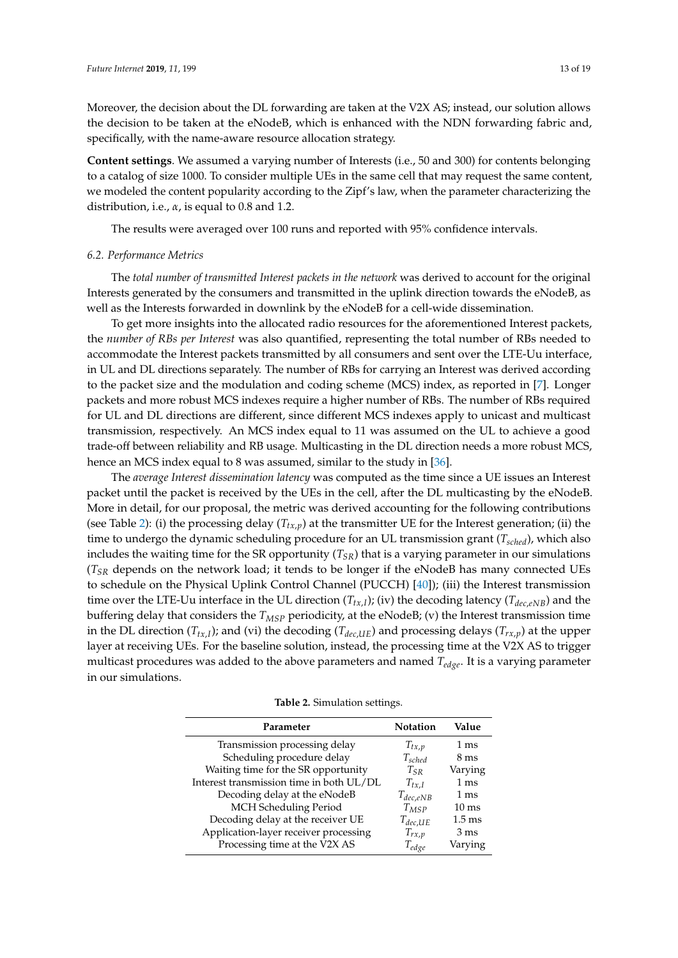Moreover, the decision about the DL forwarding are taken at the V2X AS; instead, our solution allows the decision to be taken at the eNodeB, which is enhanced with the NDN forwarding fabric and, specifically, with the name-aware resource allocation strategy.

**Content settings**. We assumed a varying number of Interests (i.e., 50 and 300) for contents belonging to a catalog of size 1000. To consider multiple UEs in the same cell that may request the same content, we modeled the content popularity according to the Zipf's law, when the parameter characterizing the distribution, i.e., *α*, is equal to 0.8 and 1.2.

The results were averaged over 100 runs and reported with 95% confidence intervals.

#### *6.2. Performance Metrics*

The *total number of transmitted Interest packets in the network* was derived to account for the original Interests generated by the consumers and transmitted in the uplink direction towards the eNodeB, as well as the Interests forwarded in downlink by the eNodeB for a cell-wide dissemination.

To get more insights into the allocated radio resources for the aforementioned Interest packets, the *number of RBs per Interest* was also quantified, representing the total number of RBs needed to accommodate the Interest packets transmitted by all consumers and sent over the LTE-Uu interface, in UL and DL directions separately. The number of RBs for carrying an Interest was derived according to the packet size and the modulation and coding scheme (MCS) index, as reported in [\[7\]](#page-16-6). Longer packets and more robust MCS indexes require a higher number of RBs. The number of RBs required for UL and DL directions are different, since different MCS indexes apply to unicast and multicast transmission, respectively. An MCS index equal to 11 was assumed on the UL to achieve a good trade-off between reliability and RB usage. Multicasting in the DL direction needs a more robust MCS, hence an MCS index equal to 8 was assumed, similar to the study in [\[36\]](#page-18-2).

The *average Interest dissemination latency* was computed as the time since a UE issues an Interest packet until the packet is received by the UEs in the cell, after the DL multicasting by the eNodeB. More in detail, for our proposal, the metric was derived accounting for the following contributions (see Table [2\)](#page-12-0): (i) the processing delay  $(T_{tx,p})$  at the transmitter UE for the Interest generation; (ii) the time to undergo the dynamic scheduling procedure for an UL transmission grant (*Tsched*), which also includes the waiting time for the SR opportunity (*TSR*) that is a varying parameter in our simulations  $(T_{SR}$  depends on the network load; it tends to be longer if the eNodeB has many connected UEs to schedule on the Physical Uplink Control Channel (PUCCH) [\[40\]](#page-18-6)); (iii) the Interest transmission time over the LTE-Uu interface in the UL direction (*Ttx*,*<sup>I</sup>* ); (iv) the decoding latency (*Tdec*,*eNB*) and the buffering delay that considers the *TMSP* periodicity, at the eNodeB; (v) the Interest transmission time in the DL direction ( $T_{tx,I}$ ); and (vi) the decoding ( $T_{dec,UE}$ ) and processing delays ( $T_{rx,p}$ ) at the upper layer at receiving UEs. For the baseline solution, instead, the processing time at the V2X AS to trigger multicast procedures was added to the above parameters and named *Tedge*. It is a varying parameter in our simulations.

|           | Table 2. Simulation settings. |
|-----------|-------------------------------|
| Parameter | Notati                        |
|           |                               |

<span id="page-12-0"></span>

| Parameter                                | Notation      | Value            |
|------------------------------------------|---------------|------------------|
| Transmission processing delay            | $T_{tx,p}$    | 1 ms             |
| Scheduling procedure delay               | $T_{sched}$   | $8 \text{ ms}$   |
| Waiting time for the SR opportunity      | $T_{SR}$      | Varying          |
| Interest transmission time in both UL/DL | $T_{tx,I}$    | 1 <sub>ms</sub>  |
| Decoding delay at the eNodeB             | $T_{dec,eNB}$ | $1 \text{ ms}$   |
| MCH Scheduling Period                    | $T_{MSP}$     | $10 \text{ ms}$  |
| Decoding delay at the receiver UE        | $T_{dec,UE}$  | $1.5 \text{ ms}$ |
| Application-layer receiver processing    | $T_{rx,p}$    | $3 \text{ ms}$   |
| Processing time at the V2X AS            | $T_{edge}$    | Varying          |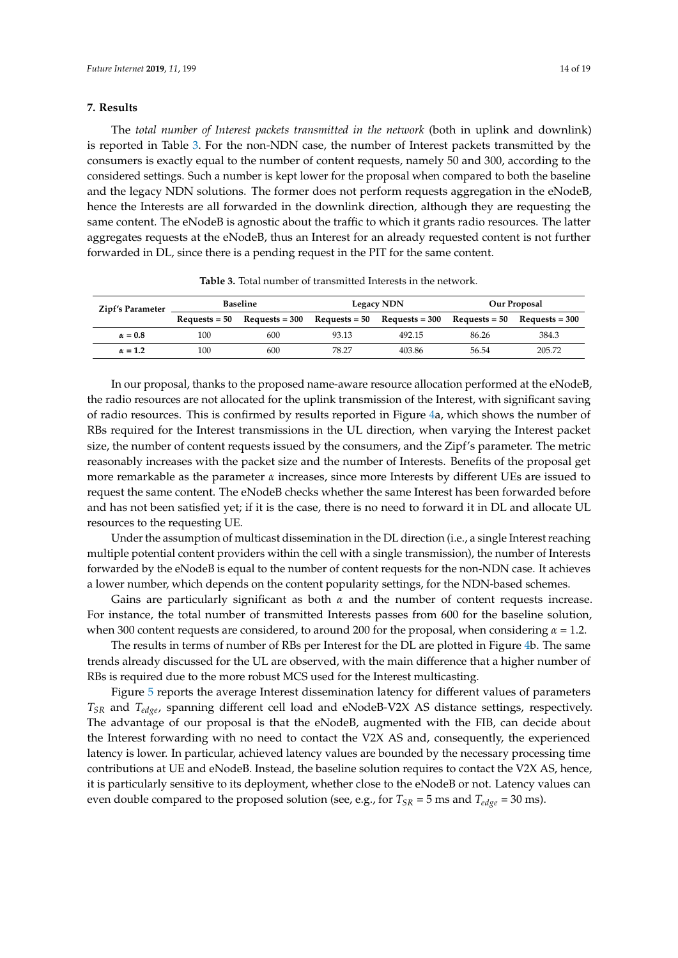#### <span id="page-13-0"></span>**7. Results**

The *total number of Interest packets transmitted in the network* (both in uplink and downlink) is reported in Table [3.](#page-13-1) For the non-NDN case, the number of Interest packets transmitted by the consumers is exactly equal to the number of content requests, namely 50 and 300, according to the considered settings. Such a number is kept lower for the proposal when compared to both the baseline and the legacy NDN solutions. The former does not perform requests aggregation in the eNodeB, hence the Interests are all forwarded in the downlink direction, although they are requesting the same content. The eNodeB is agnostic about the traffic to which it grants radio resources. The latter aggregates requests at the eNodeB, thus an Interest for an already requested content is not further forwarded in DL, since there is a pending request in the PIT for the same content.

<span id="page-13-1"></span>

| Zipf's Parameter | <b>Baseline</b> |                                       | <b>Legacy NDN</b> |                                       | Our Proposal |                                       |
|------------------|-----------------|---------------------------------------|-------------------|---------------------------------------|--------------|---------------------------------------|
|                  |                 | $\text{Requests} = 50$ Requests = 300 |                   | $\text{Requests} = 50$ Requests = 300 |              | $\text{Requests} = 50$ Requests = 300 |
| $\alpha = 0.8$   | 100             | 600                                   | 93.13             | 492.15                                | 86.26        | 384.3                                 |
| $\alpha = 1.2$   | 100             | 600                                   | 78.27             | 403.86                                | 56.54        | 205.72                                |

**Table 3.** Total number of transmitted Interests in the network.

In our proposal, thanks to the proposed name-aware resource allocation performed at the eNodeB, the radio resources are not allocated for the uplink transmission of the Interest, with significant saving of radio resources. This is confirmed by results reported in Figure [4a](#page-14-1), which shows the number of RBs required for the Interest transmissions in the UL direction, when varying the Interest packet size, the number of content requests issued by the consumers, and the Zipf's parameter. The metric reasonably increases with the packet size and the number of Interests. Benefits of the proposal get more remarkable as the parameter *α* increases, since more Interests by different UEs are issued to request the same content. The eNodeB checks whether the same Interest has been forwarded before and has not been satisfied yet; if it is the case, there is no need to forward it in DL and allocate UL resources to the requesting UE.

Under the assumption of multicast dissemination in the DL direction (i.e., a single Interest reaching multiple potential content providers within the cell with a single transmission), the number of Interests forwarded by the eNodeB is equal to the number of content requests for the non-NDN case. It achieves a lower number, which depends on the content popularity settings, for the NDN-based schemes.

Gains are particularly significant as both *α* and the number of content requests increase. For instance, the total number of transmitted Interests passes from 600 for the baseline solution, when 300 content requests are considered, to around 200 for the proposal, when considering *α* = 1.2.

The results in terms of number of RBs per Interest for the DL are plotted in Figure [4b](#page-14-1). The same trends already discussed for the UL are observed, with the main difference that a higher number of RBs is required due to the more robust MCS used for the Interest multicasting.

Figure [5](#page-14-2) reports the average Interest dissemination latency for different values of parameters *TSR* and *Tedge*, spanning different cell load and eNodeB-V2X AS distance settings, respectively. The advantage of our proposal is that the eNodeB, augmented with the FIB, can decide about the Interest forwarding with no need to contact the V2X AS and, consequently, the experienced latency is lower. In particular, achieved latency values are bounded by the necessary processing time contributions at UE and eNodeB. Instead, the baseline solution requires to contact the V2X AS, hence, it is particularly sensitive to its deployment, whether close to the eNodeB or not. Latency values can even double compared to the proposed solution (see, e.g., for  $T_{SR}$  = 5 ms and  $T_{edge}$  = 30 ms).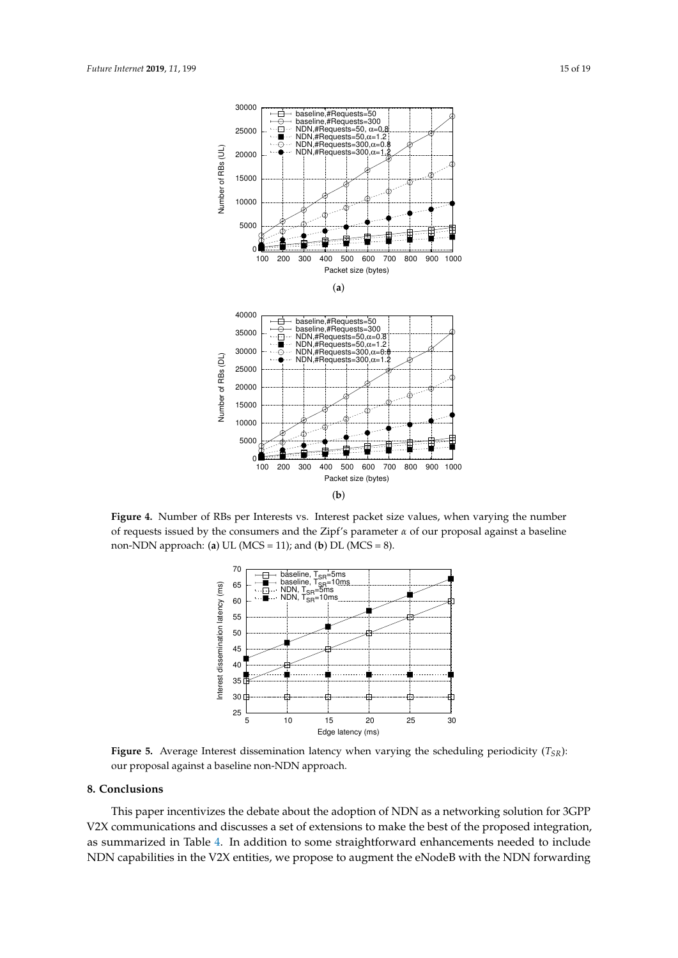<span id="page-14-1"></span>

<span id="page-14-2"></span>**Figure 4.** Number of RBs per Interests vs. Interest packet size values, when varying the number of requests issued by the consumers and the Zipf's parameter  $\alpha$  of our proposal against a baseline non-NDN approach: (**a**) UL (MCS = 11); and (**b**) DL (MCS = 8).



**Figure 5.** Average Interest dissemination latency when varying the scheduling periodicity  $(T_{SR})$ : our proposal against a baseline non-NDN approach.

# <span id="page-14-0"></span>**8. Conclusions**

This paper incentivizes the debate about the adoption of NDN as a networking solution for 3GPP V2X communications and discusses a set of extensions to make the best of the proposed integration, as summarized in Table [4.](#page-15-0) In addition to some straightforward enhancements needed to include NDN capabilities in the V2X entities, we propose to augment the eNodeB with the NDN forwarding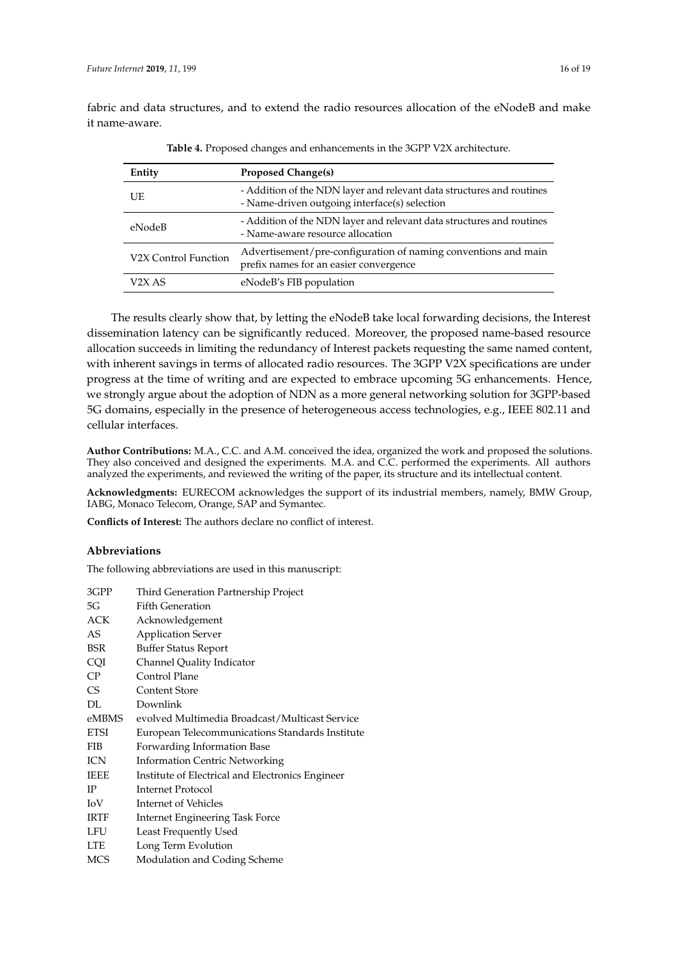<span id="page-15-0"></span>fabric and data structures, and to extend the radio resources allocation of the eNodeB and make it name-aware.

| Entity               | <b>Proposed Change(s)</b>                                                                                              |
|----------------------|------------------------------------------------------------------------------------------------------------------------|
| UE                   | - Addition of the NDN layer and relevant data structures and routines<br>- Name-driven outgoing interface(s) selection |
| eNodeB               | - Addition of the NDN layer and relevant data structures and routines<br>- Name-aware resource allocation              |
| V2X Control Function | Advertisement/pre-configuration of naming conventions and main<br>prefix names for an easier convergence               |
| V2X AS               | eNodeB's FIB population                                                                                                |

**Table 4.** Proposed changes and enhancements in the 3GPP V2X architecture.

The results clearly show that, by letting the eNodeB take local forwarding decisions, the Interest dissemination latency can be significantly reduced. Moreover, the proposed name-based resource allocation succeeds in limiting the redundancy of Interest packets requesting the same named content, with inherent savings in terms of allocated radio resources. The 3GPP V2X specifications are under progress at the time of writing and are expected to embrace upcoming 5G enhancements. Hence, we strongly argue about the adoption of NDN as a more general networking solution for 3GPP-based 5G domains, especially in the presence of heterogeneous access technologies, e.g., IEEE 802.11 and cellular interfaces.

**Author Contributions:** M.A., C.C. and A.M. conceived the idea, organized the work and proposed the solutions. They also conceived and designed the experiments. M.A. and C.C. performed the experiments. All authors analyzed the experiments, and reviewed the writing of the paper, its structure and its intellectual content.

**Acknowledgments:** EURECOM acknowledges the support of its industrial members, namely, BMW Group, IABG, Monaco Telecom, Orange, SAP and Symantec.

**Conflicts of Interest:** The authors declare no conflict of interest.

## **Abbreviations**

The following abbreviations are used in this manuscript:

| 3GPP        | Third Generation Partnership Project             |
|-------------|--------------------------------------------------|
| 5G          | <b>Fifth Generation</b>                          |
| ACK         | Acknowledgement                                  |
| AS          | <b>Application Server</b>                        |
| <b>BSR</b>  | <b>Buffer Status Report</b>                      |
| CQI         | Channel Quality Indicator                        |
| CP          | Control Plane                                    |
| <b>CS</b>   | <b>Content Store</b>                             |
| DL.         | Downlink                                         |
| eMBMS       | evolved Multimedia Broadcast/Multicast Service   |
| <b>ETSI</b> | European Telecommunications Standards Institute  |
| FIB         | Forwarding Information Base                      |
| ICN         | <b>Information Centric Networking</b>            |
| <b>IEEE</b> | Institute of Electrical and Electronics Engineer |
| IP          | Internet Protocol                                |
| IoV         | Internet of Vehicles                             |
| IRTF        | Internet Engineering Task Force                  |
| LFU         | Least Frequently Used                            |
| <b>LTE</b>  | Long Term Evolution                              |
| MCS         | Modulation and Coding Scheme                     |
|             |                                                  |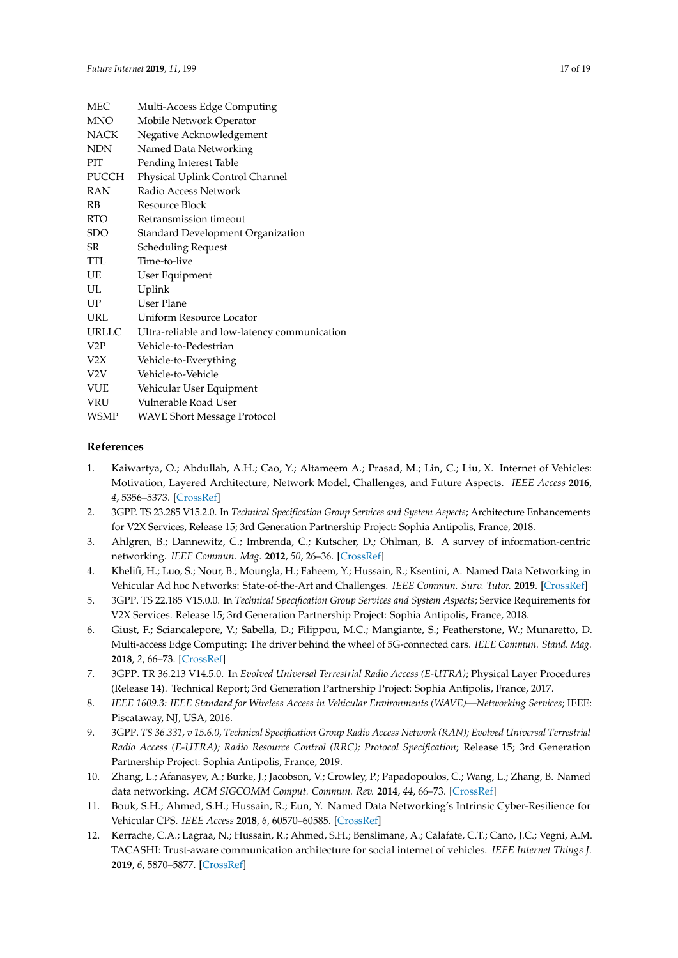| <b>MEC</b>       | Multi-Access Edge Computing                  |
|------------------|----------------------------------------------|
| <b>MNO</b>       | Mobile Network Operator                      |
| <b>NACK</b>      | Negative Acknowledgement                     |
| <b>NDN</b>       | Named Data Networking                        |
| <b>PIT</b>       | Pending Interest Table                       |
| PUCCH            | Physical Uplink Control Channel              |
| <b>RAN</b>       | Radio Access Network                         |
| RB               | Resource Block                               |
| <b>RTO</b>       | Retransmission timeout                       |
| SDO              | Standard Development Organization            |
| SR               | Scheduling Request                           |
| <b>TTL</b>       | Time-to-live                                 |
| UE               | User Equipment                               |
| UL               | Uplink                                       |
| UP               | User Plane                                   |
| URL              | Uniform Resource Locator                     |
| <b>URLLC</b>     | Ultra-reliable and low-latency communication |
| V2P              | Vehicle-to-Pedestrian                        |
| V <sub>2</sub> X | Vehicle-to-Everything                        |
| V <sub>2</sub> V | Vehicle-to-Vehicle                           |
| <b>VUE</b>       | Vehicular User Equipment                     |
| <b>VRU</b>       | Vulnerable Road User                         |
| WSMP             | <b>WAVE Short Message Protocol</b>           |

#### **References**

- <span id="page-16-0"></span>1. Kaiwartya, O.; Abdullah, A.H.; Cao, Y.; Altameem A.; Prasad, M.; Lin, C.; Liu, X. Internet of Vehicles: Motivation, Layered Architecture, Network Model, Challenges, and Future Aspects. *IEEE Access* **2016**, *4*, 5356–5373. [\[CrossRef\]](http://dx.doi.org/10.1109/ACCESS.2016.2603219)
- <span id="page-16-1"></span>2. 3GPP. TS 23.285 V15.2.0. In *Technical Specification Group Services and System Aspects*; Architecture Enhancements for V2X Services, Release 15; 3rd Generation Partnership Project: Sophia Antipolis, France, 2018.
- <span id="page-16-2"></span>3. Ahlgren, B.; Dannewitz, C.; Imbrenda, C.; Kutscher, D.; Ohlman, B. A survey of information-centric networking. *IEEE Commun. Mag.* **2012**, *50*, 26–36. [\[CrossRef\]](http://dx.doi.org/10.1109/MCOM.2012.6231276)
- <span id="page-16-3"></span>4. Khelifi, H.; Luo, S.; Nour, B.; Moungla, H.; Faheem, Y.; Hussain, R.; Ksentini, A. Named Data Networking in Vehicular Ad hoc Networks: State-of-the-Art and Challenges. *IEEE Commun. Surv. Tutor.* **2019**. [\[CrossRef\]](http://dx.doi.org/10.1109/COMST.2019.2894816)
- <span id="page-16-4"></span>5. 3GPP. TS 22.185 V15.0.0. In *Technical Specification Group Services and System Aspects*; Service Requirements for V2X Services. Release 15; 3rd Generation Partnership Project: Sophia Antipolis, France, 2018.
- <span id="page-16-5"></span>6. Giust, F.; Sciancalepore, V.; Sabella, D.; Filippou, M.C.; Mangiante, S.; Featherstone, W.; Munaretto, D. Multi-access Edge Computing: The driver behind the wheel of 5G-connected cars. *IEEE Commun. Stand. Mag.* **2018**, *2*, 66–73. [\[CrossRef\]](http://dx.doi.org/10.1109/MCOMSTD.2018.1800013)
- <span id="page-16-6"></span>7. 3GPP. TR 36.213 V14.5.0. In *Evolved Universal Terrestrial Radio Access (E-UTRA)*; Physical Layer Procedures (Release 14). Technical Report; 3rd Generation Partnership Project: Sophia Antipolis, France, 2017.
- <span id="page-16-7"></span>8. *IEEE 1609.3: IEEE Standard for Wireless Access in Vehicular Environments (WAVE)—Networking Services*; IEEE: Piscataway, NJ, USA, 2016.
- <span id="page-16-8"></span>9. 3GPP. *TS 36.331, v 15.6.0, Technical Specification Group Radio Access Network (RAN); Evolved Universal Terrestrial Radio Access (E-UTRA); Radio Resource Control (RRC); Protocol Specification*; Release 15; 3rd Generation Partnership Project: Sophia Antipolis, France, 2019.
- <span id="page-16-9"></span>10. Zhang, L.; Afanasyev, A.; Burke, J.; Jacobson, V.; Crowley, P.; Papadopoulos, C.; Wang, L.; Zhang, B. Named data networking. *ACM SIGCOMM Comput. Commun. Rev.* **2014**, *44*, 66–73. [\[CrossRef\]](http://dx.doi.org/10.1145/2656877.2656887)
- <span id="page-16-10"></span>11. Bouk, S.H.; Ahmed, S.H.; Hussain, R.; Eun, Y. Named Data Networking's Intrinsic Cyber-Resilience for Vehicular CPS. *IEEE Access* **2018**, *6*, 60570–60585. [\[CrossRef\]](http://dx.doi.org/10.1109/ACCESS.2018.2875890)
- <span id="page-16-11"></span>12. Kerrache, C.A.; Lagraa, N.; Hussain, R.; Ahmed, S.H.; Benslimane, A.; Calafate, C.T.; Cano, J.C.; Vegni, A.M. TACASHI: Trust-aware communication architecture for social internet of vehicles. *IEEE Internet Things J.* **2019**, *6*, 5870–5877. [\[CrossRef\]](http://dx.doi.org/10.1109/JIOT.2018.2880332)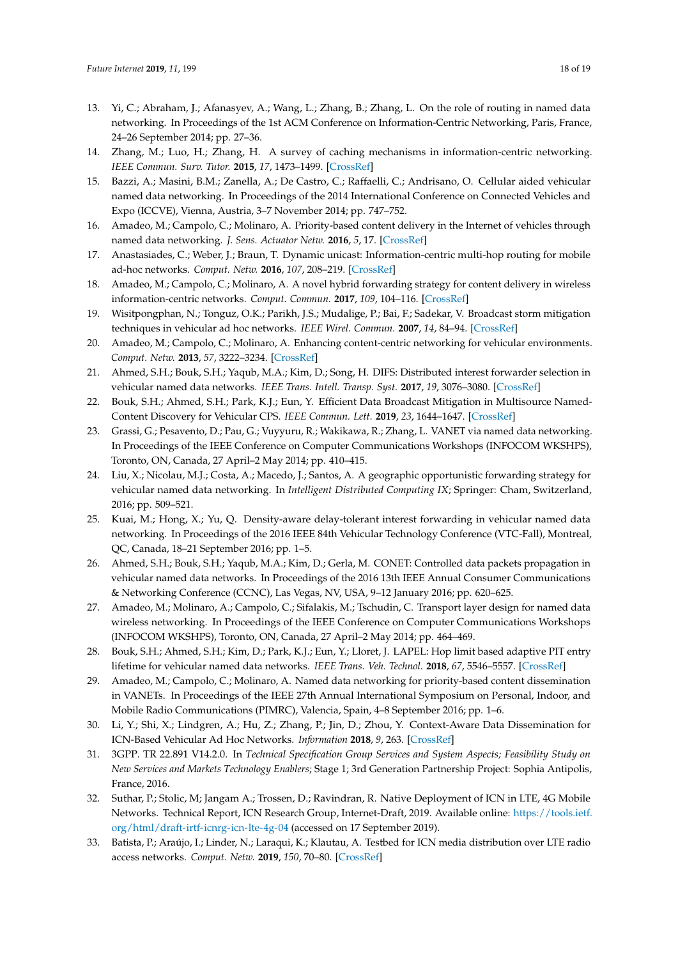- <span id="page-17-0"></span>13. Yi, C.; Abraham, J.; Afanasyev, A.; Wang, L.; Zhang, B.; Zhang, L. On the role of routing in named data networking. In Proceedings of the 1st ACM Conference on Information-Centric Networking, Paris, France, 24–26 September 2014; pp. 27–36.
- <span id="page-17-1"></span>14. Zhang, M.; Luo, H.; Zhang, H. A survey of caching mechanisms in information-centric networking. *IEEE Commun. Surv. Tutor.* **2015**, *17*, 1473–1499. [\[CrossRef\]](http://dx.doi.org/10.1109/COMST.2015.2420097)
- <span id="page-17-2"></span>15. Bazzi, A.; Masini, B.M.; Zanella, A.; De Castro, C.; Raffaelli, C.; Andrisano, O. Cellular aided vehicular named data networking. In Proceedings of the 2014 International Conference on Connected Vehicles and Expo (ICCVE), Vienna, Austria, 3–7 November 2014; pp. 747–752.
- <span id="page-17-3"></span>16. Amadeo, M.; Campolo, C.; Molinaro, A. Priority-based content delivery in the Internet of vehicles through named data networking. *J. Sens. Actuator Netw.* **2016**, *5*, 17. [\[CrossRef\]](http://dx.doi.org/10.3390/jsan5040017)
- <span id="page-17-4"></span>17. Anastasiades, C.; Weber, J.; Braun, T. Dynamic unicast: Information-centric multi-hop routing for mobile ad-hoc networks. *Comput. Netw.* **2016**, *107*, 208–219. [\[CrossRef\]](http://dx.doi.org/10.1016/j.comnet.2016.03.009)
- <span id="page-17-5"></span>18. Amadeo, M.; Campolo, C.; Molinaro, A. A novel hybrid forwarding strategy for content delivery in wireless information-centric networks. *Comput. Commun.* **2017**, *109*, 104–116. [\[CrossRef\]](http://dx.doi.org/10.1016/j.comcom.2017.05.012)
- <span id="page-17-6"></span>19. Wisitpongphan, N.; Tonguz, O.K.; Parikh, J.S.; Mudalige, P.; Bai, F.; Sadekar, V. Broadcast storm mitigation techniques in vehicular ad hoc networks. *IEEE Wirel. Commun.* **2007**, *14*, 84–94. [\[CrossRef\]](http://dx.doi.org/10.1109/MWC.2007.4407231)
- <span id="page-17-7"></span>20. Amadeo, M.; Campolo, C.; Molinaro, A. Enhancing content-centric networking for vehicular environments. *Comput. Netw.* **2013**, *57*, 3222–3234. [\[CrossRef\]](http://dx.doi.org/10.1016/j.comnet.2013.07.005)
- <span id="page-17-8"></span>21. Ahmed, S.H.; Bouk, S.H.; Yaqub, M.A.; Kim, D.; Song, H. DIFS: Distributed interest forwarder selection in vehicular named data networks. *IEEE Trans. Intell. Transp. Syst.* **2017**, *19*, 3076–3080. [\[CrossRef\]](http://dx.doi.org/10.1109/TITS.2017.2768329)
- <span id="page-17-9"></span>22. Bouk, S.H.; Ahmed, S.H.; Park, K.J.; Eun, Y. Efficient Data Broadcast Mitigation in Multisource Named-Content Discovery for Vehicular CPS. *IEEE Commun. Lett.* **2019**, *23*, 1644–1647. [\[CrossRef\]](http://dx.doi.org/10.1109/LCOMM.2019.2928538)
- <span id="page-17-10"></span>23. Grassi, G.; Pesavento, D.; Pau, G.; Vuyyuru, R.; Wakikawa, R.; Zhang, L. VANET via named data networking. In Proceedings of the IEEE Conference on Computer Communications Workshops (INFOCOM WKSHPS), Toronto, ON, Canada, 27 April–2 May 2014; pp. 410–415.
- <span id="page-17-11"></span>24. Liu, X.; Nicolau, M.J.; Costa, A.; Macedo, J.; Santos, A. A geographic opportunistic forwarding strategy for vehicular named data networking. In *Intelligent Distributed Computing IX*; Springer: Cham, Switzerland, 2016; pp. 509–521.
- <span id="page-17-12"></span>25. Kuai, M.; Hong, X.; Yu, Q. Density-aware delay-tolerant interest forwarding in vehicular named data networking. In Proceedings of the 2016 IEEE 84th Vehicular Technology Conference (VTC-Fall), Montreal, QC, Canada, 18–21 September 2016; pp. 1–5.
- <span id="page-17-13"></span>26. Ahmed, S.H.; Bouk, S.H.; Yaqub, M.A.; Kim, D.; Gerla, M. CONET: Controlled data packets propagation in vehicular named data networks. In Proceedings of the 2016 13th IEEE Annual Consumer Communications & Networking Conference (CCNC), Las Vegas, NV, USA, 9–12 January 2016; pp. 620–625.
- <span id="page-17-14"></span>27. Amadeo, M.; Molinaro, A.; Campolo, C.; Sifalakis, M.; Tschudin, C. Transport layer design for named data wireless networking. In Proceedings of the IEEE Conference on Computer Communications Workshops (INFOCOM WKSHPS), Toronto, ON, Canada, 27 April–2 May 2014; pp. 464–469.
- <span id="page-17-15"></span>28. Bouk, S.H.; Ahmed, S.H.; Kim, D.; Park, K.J.; Eun, Y.; Lloret, J. LAPEL: Hop limit based adaptive PIT entry lifetime for vehicular named data networks. *IEEE Trans. Veh. Technol.* **2018**, *67*, 5546–5557. [\[CrossRef\]](http://dx.doi.org/10.1109/TVT.2018.2797693)
- <span id="page-17-16"></span>29. Amadeo, M.; Campolo, C.; Molinaro, A. Named data networking for priority-based content dissemination in VANETs. In Proceedings of the IEEE 27th Annual International Symposium on Personal, Indoor, and Mobile Radio Communications (PIMRC), Valencia, Spain, 4–8 September 2016; pp. 1–6.
- <span id="page-17-17"></span>30. Li, Y.; Shi, X.; Lindgren, A.; Hu, Z.; Zhang, P.; Jin, D.; Zhou, Y. Context-Aware Data Dissemination for ICN-Based Vehicular Ad Hoc Networks. *Information* **2018**, *9*, 263. [\[CrossRef\]](http://dx.doi.org/10.3390/info9110263)
- <span id="page-17-18"></span>31. 3GPP. TR 22.891 V14.2.0. In *Technical Specification Group Services and System Aspects; Feasibility Study on New Services and Markets Technology Enablers*; Stage 1; 3rd Generation Partnership Project: Sophia Antipolis, France, 2016.
- <span id="page-17-19"></span>32. Suthar, P.; Stolic, M; Jangam A.; Trossen, D.; Ravindran, R. Native Deployment of ICN in LTE, 4G Mobile Networks. Technical Report, ICN Research Group, Internet-Draft, 2019. Available online: [https://tools.ietf.](https://tools.ietf.org/html/draft-irtf-icnrg-icn-lte-4g-04) [org/html/draft-irtf-icnrg-icn-lte-4g-04](https://tools.ietf.org/html/draft-irtf-icnrg-icn-lte-4g-04) (accessed on 17 September 2019).
- <span id="page-17-20"></span>33. Batista, P.; Araújo, I.; Linder, N.; Laraqui, K.; Klautau, A. Testbed for ICN media distribution over LTE radio access networks. *Comput. Netw.* **2019**, *150*, 70–80. [\[CrossRef\]](http://dx.doi.org/10.1016/j.comnet.2018.12.013)